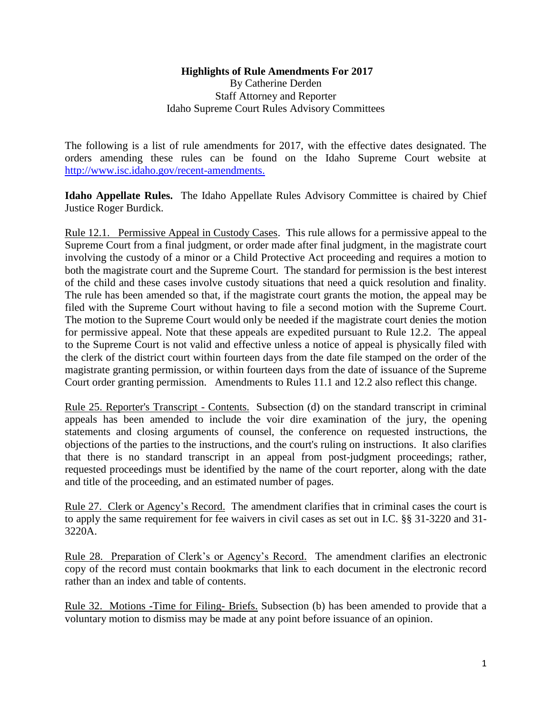## **Highlights of Rule Amendments For 2017** By Catherine Derden Staff Attorney and Reporter Idaho Supreme Court Rules Advisory Committees

The following is a list of rule amendments for 2017, with the effective dates designated. The orders amending these rules can be found on the Idaho Supreme Court website at [http://www.isc.idaho.gov/recent-amendments.](http://www.isc.idaho.gov/recent-amendments)

**Idaho Appellate Rules.** The Idaho Appellate Rules Advisory Committee is chaired by Chief Justice Roger Burdick.

Rule 12.1. Permissive Appeal in Custody Cases. This rule allows for a permissive appeal to the Supreme Court from a final judgment, or order made after final judgment, in the magistrate court involving the custody of a minor or a Child Protective Act proceeding and requires a motion to both the magistrate court and the Supreme Court. The standard for permission is the best interest of the child and these cases involve custody situations that need a quick resolution and finality. The rule has been amended so that, if the magistrate court grants the motion, the appeal may be filed with the Supreme Court without having to file a second motion with the Supreme Court. The motion to the Supreme Court would only be needed if the magistrate court denies the motion for permissive appeal. Note that these appeals are expedited pursuant to Rule 12.2. The appeal to the Supreme Court is not valid and effective unless a notice of appeal is physically filed with the clerk of the district court within fourteen days from the date file stamped on the order of the magistrate granting permission, or within fourteen days from the date of issuance of the Supreme Court order granting permission. Amendments to Rules 11.1 and 12.2 also reflect this change.

Rule 25. Reporter's Transcript - Contents.Subsection (d) on the standard transcript in criminal appeals has been amended to include the voir dire examination of the jury, the opening statements and closing arguments of counsel, the conference on requested instructions, the objections of the parties to the instructions, and the court's ruling on instructions. It also clarifies that there is no standard transcript in an appeal from post-judgment proceedings; rather, requested proceedings must be identified by the name of the court reporter, along with the date and title of the proceeding, and an estimated number of pages.

Rule 27. Clerk or Agency's Record. The amendment clarifies that in criminal cases the court is to apply the same requirement for fee waivers in civil cases as set out in I.C. §§ 31-3220 and 31- 3220A.

Rule 28. Preparation of Clerk's or Agency's Record. The amendment clarifies an electronic copy of the record must contain bookmarks that link to each document in the electronic record rather than an index and table of contents.

Rule 32. Motions **-**Time for Filing- Briefs. Subsection (b) has been amended to provide that a voluntary motion to dismiss may be made at any point before issuance of an opinion.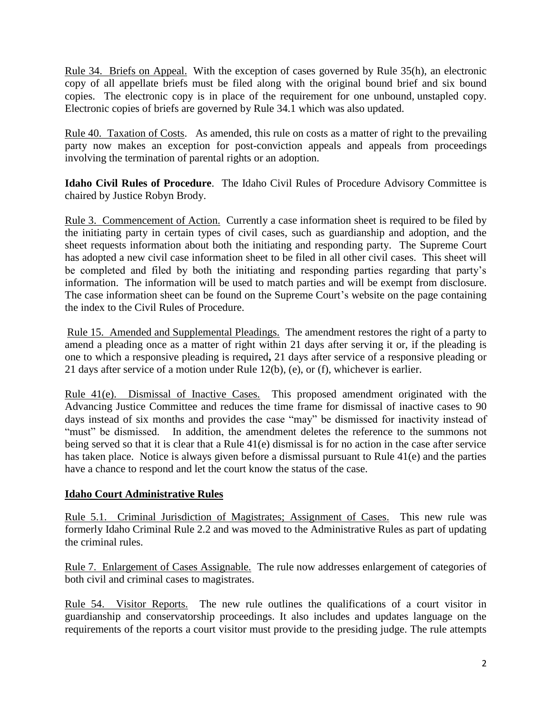Rule 34. Briefs on Appeal. With the exception of cases governed by Rule 35(h), an electronic copy of all appellate briefs must be filed along with the original bound brief and six bound copies. The electronic copy is in place of the requirement for one unbound, unstapled copy. Electronic copies of briefs are governed by Rule 34.1 which was also updated.

Rule 40. Taxation of Costs. As amended, this rule on costs as a matter of right to the prevailing party now makes an exception for post-conviction appeals and appeals from proceedings involving the termination of parental rights or an adoption.

**Idaho Civil Rules of Procedure**. The Idaho Civil Rules of Procedure Advisory Committee is chaired by Justice Robyn Brody.

Rule 3. Commencement of Action. Currently a case information sheet is required to be filed by the initiating party in certain types of civil cases, such as guardianship and adoption, and the sheet requests information about both the initiating and responding party. The Supreme Court has adopted a new civil case information sheet to be filed in all other civil cases. This sheet will be completed and filed by both the initiating and responding parties regarding that party's information. The information will be used to match parties and will be exempt from disclosure. The case information sheet can be found on the Supreme Court's website on the page containing the index to the Civil Rules of Procedure.

Rule 15. Amended and Supplemental Pleadings. The amendment restores the right of a party to amend a pleading once as a matter of right within 21 days after serving it or, if the pleading is one to which a responsive pleading is required**,** 21 days after service of a responsive pleading or 21 days after service of a motion under [Rule 12\(b\),](https://www.law.cornell.edu/rules/frcp/rule_15#rule_12_b) [\(e\),](https://www.law.cornell.edu/rules/frcp/rule_15#rule_12_e) or [\(f\),](https://www.law.cornell.edu/rules/frcp/rule_15#rule_12_f) whichever is earlier.

Rule 41(e). Dismissal of Inactive Cases.This proposed amendment originated with the Advancing Justice Committee and reduces the time frame for dismissal of inactive cases to 90 days instead of six months and provides the case "may" be dismissed for inactivity instead of "must" be dismissed. In addition, the amendment deletes the reference to the summons not being served so that it is clear that a Rule 41(e) dismissal is for no action in the case after service has taken place. Notice is always given before a dismissal pursuant to Rule 41(e) and the parties have a chance to respond and let the court know the status of the case.

## **Idaho Court Administrative Rules**

Rule 5.1. Criminal Jurisdiction of Magistrates; Assignment of Cases.This new rule was formerly Idaho Criminal Rule 2.2 and was moved to the Administrative Rules as part of updating the criminal rules.

Rule 7. Enlargement of Cases Assignable.The rule now addresses enlargement of categories of both civil and criminal cases to magistrates.

Rule 54. Visitor Reports.The new rule outlines the qualifications of a court visitor in guardianship and conservatorship proceedings. It also includes and updates language on the requirements of the reports a court visitor must provide to the presiding judge. The rule attempts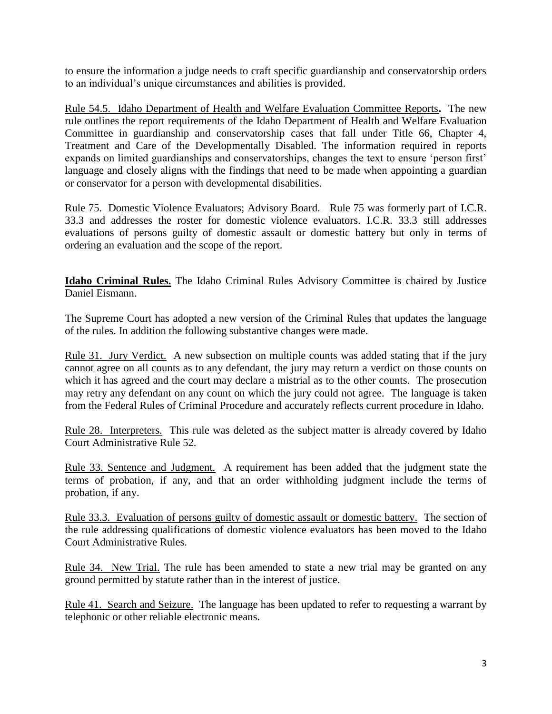to ensure the information a judge needs to craft specific guardianship and conservatorship orders to an individual's unique circumstances and abilities is provided.

Rule 54.5. Idaho Department of Health and Welfare Evaluation Committee Reports**.** The new rule outlines the report requirements of the Idaho Department of Health and Welfare Evaluation Committee in guardianship and conservatorship cases that fall under Title 66, Chapter 4, Treatment and Care of the Developmentally Disabled. The information required in reports expands on limited guardianships and conservatorships, changes the text to ensure 'person first' language and closely aligns with the findings that need to be made when appointing a guardian or conservator for a person with developmental disabilities.

Rule 75. Domestic Violence Evaluators; Advisory Board.Rule 75 was formerly part of I.C.R. 33.3 and addresses the roster for domestic violence evaluators. I.C.R. 33.3 still addresses evaluations of persons guilty of domestic assault or domestic battery but only in terms of ordering an evaluation and the scope of the report.

**Idaho Criminal Rules.** The Idaho Criminal Rules Advisory Committee is chaired by Justice Daniel Eismann.

The Supreme Court has adopted a new version of the Criminal Rules that updates the language of the rules. In addition the following substantive changes were made.

Rule 31. Jury Verdict. A new subsection on multiple counts was added stating that if the jury cannot agree on all counts as to any defendant, the jury may return a verdict on those counts on which it has agreed and the court may declare a mistrial as to the other counts. The prosecution may retry any defendant on any count on which the jury could not agree. The language is taken from the Federal Rules of Criminal Procedure and accurately reflects current procedure in Idaho.

Rule 28. Interpreters. This rule was deleted as the subject matter is already covered by Idaho Court Administrative Rule 52.

Rule 33. Sentence and Judgment. A requirement has been added that the judgment state the terms of probation, if any, and that an order withholding judgment include the terms of probation, if any.

Rule 33.3. Evaluation of persons guilty of domestic assault or domestic battery. The section of the rule addressing qualifications of domestic violence evaluators has been moved to the Idaho Court Administrative Rules.

Rule 34. New Trial. The rule has been amended to state a new trial may be granted on any ground permitted by statute rather than in the interest of justice.

Rule 41. Search and Seizure. The language has been updated to refer to requesting a warrant by telephonic or other reliable electronic means.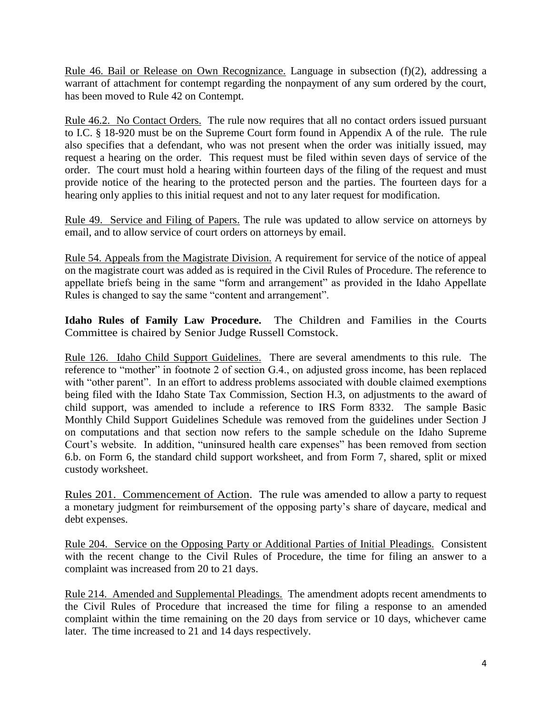Rule 46. Bail or Release on Own Recognizance. Language in subsection (f)(2), addressing a warrant of attachment for contempt regarding the nonpayment of any sum ordered by the court, has been moved to Rule 42 on Contempt.

Rule 46.2. No Contact Orders.The rule now requires that all no contact orders issued pursuant to I.C. § 18-920 must be on the Supreme Court form found in Appendix A of the rule. The rule also specifies that a defendant, who was not present when the order was initially issued, may request a hearing on the order. This request must be filed within seven days of service of the order. The court must hold a hearing within fourteen days of the filing of the request and must provide notice of the hearing to the protected person and the parties. The fourteen days for a hearing only applies to this initial request and not to any later request for modification.

Rule 49. Service and Filing of Papers. The rule was updated to allow service on attorneys by email, and to allow service of court orders on attorneys by email.

Rule 54. Appeals from the Magistrate Division. A requirement for service of the notice of appeal on the magistrate court was added as is required in the Civil Rules of Procedure. The reference to appellate briefs being in the same "form and arrangement" as provided in the Idaho Appellate Rules is changed to say the same "content and arrangement".

**Idaho Rules of Family Law Procedure.** The Children and Families in the Courts Committee is chaired by Senior Judge Russell Comstock.

Rule 126. Idaho Child Support Guidelines.There are several amendments to this rule. The reference to "mother" in footnote 2 of section G.4., on adjusted gross income, has been replaced with "other parent". In an effort to address problems associated with double claimed exemptions being filed with the Idaho State Tax Commission, Section H.3, on adjustments to the award of child support, was amended to include a reference to IRS Form 8332. The sample Basic Monthly Child Support Guidelines Schedule was removed from the guidelines under Section J on computations and that section now refers to the sample schedule on the Idaho Supreme Court's website. In addition, "uninsured health care expenses" has been removed from section 6.b. on Form 6, the standard child support worksheet, and from Form 7, shared, split or mixed custody worksheet.

Rules 201. Commencement of Action. The rule was amended to allow a party to request a monetary judgment for reimbursement of the opposing party's share of daycare, medical and debt expenses.

Rule 204. Service on the Opposing Party or Additional Parties of Initial Pleadings.Consistent with the recent change to the Civil Rules of Procedure, the time for filing an answer to a complaint was increased from 20 to 21 days.

Rule 214. Amended and Supplemental Pleadings.The amendment adopts recent amendments to the Civil Rules of Procedure that increased the time for filing a response to an amended complaint within the time remaining on the 20 days from service or 10 days, whichever came later. The time increased to 21 and 14 days respectively.